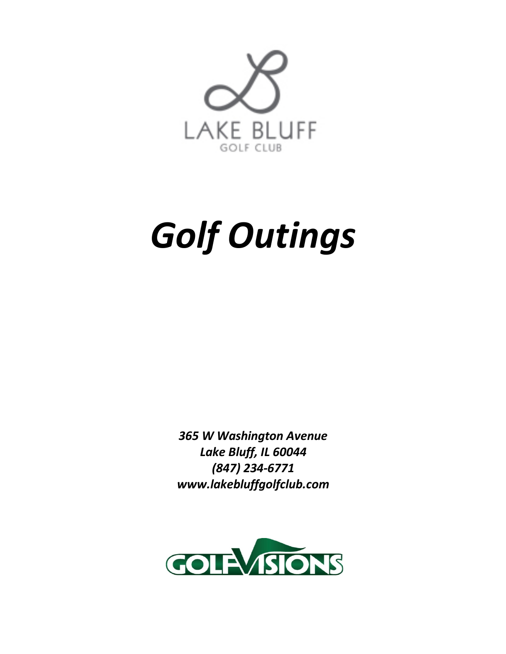

# *Golf Outings*

*365 W Washington Avenue Lake Bluff, IL 60044 (847) 234-6771 www.lakebluffgolfclub.com*

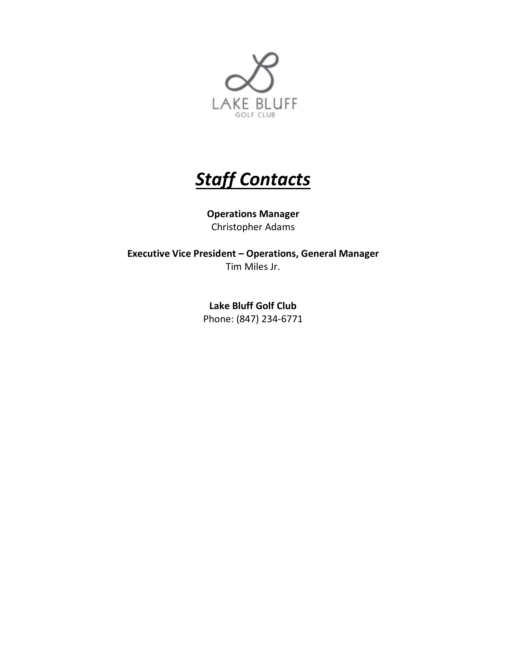

# *Staff Contacts*

**Operations Manager** Christopher Adams

**Executive Vice President – Operations, General Manager** Tim Miles Jr.

> **Lake Bluff Golf Club** Phone: (847) 234-6771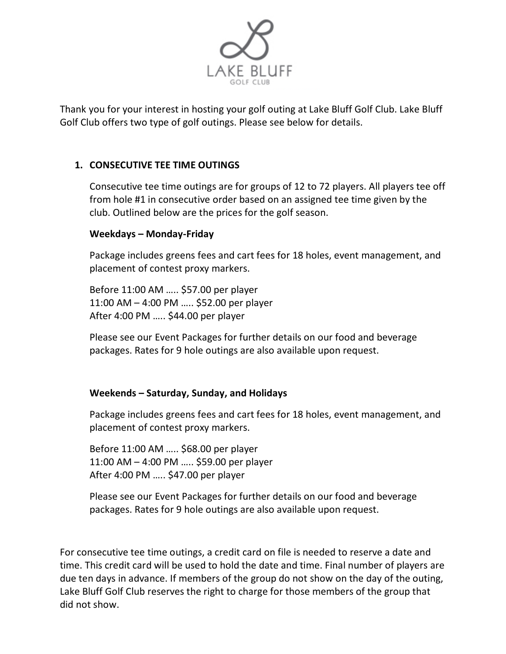

Thank you for your interest in hosting your golf outing at Lake Bluff Golf Club. Lake Bluff Golf Club offers two type of golf outings. Please see below for details.

### **1. CONSECUTIVE TEE TIME OUTINGS**

Consecutive tee time outings are for groups of 12 to 72 players. All players tee off from hole #1 in consecutive order based on an assigned tee time given by the club. Outlined below are the prices for the golf season.

#### **Weekdays – Monday-Friday**

Package includes greens fees and cart fees for 18 holes, event management, and placement of contest proxy markers.

Before 11:00 AM ….. \$57.00 per player 11:00 AM – 4:00 PM ….. \$52.00 per player After 4:00 PM ….. \$44.00 per player

Please see our Event Packages for further details on our food and beverage packages. Rates for 9 hole outings are also available upon request.

#### **Weekends – Saturday, Sunday, and Holidays**

Package includes greens fees and cart fees for 18 holes, event management, and placement of contest proxy markers.

Before 11:00 AM ….. \$68.00 per player 11:00 AM – 4:00 PM ….. \$59.00 per player After 4:00 PM ….. \$47.00 per player

Please see our Event Packages for further details on our food and beverage packages. Rates for 9 hole outings are also available upon request.

For consecutive tee time outings, a credit card on file is needed to reserve a date and time. This credit card will be used to hold the date and time. Final number of players are due ten days in advance. If members of the group do not show on the day of the outing, Lake Bluff Golf Club reserves the right to charge for those members of the group that did not show.